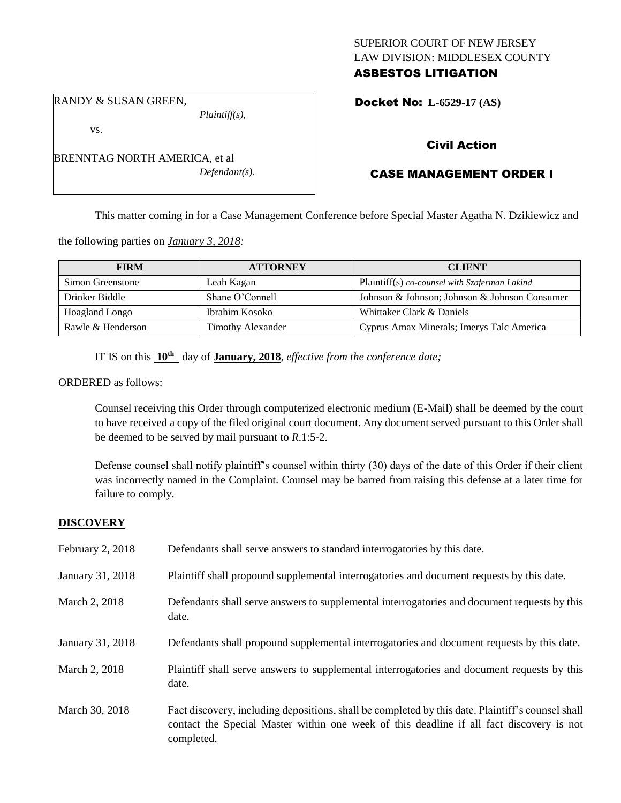# SUPERIOR COURT OF NEW JERSEY LAW DIVISION: MIDDLESEX COUNTY ASBESTOS LITIGATION

RANDY & SUSAN GREEN,

vs.

BRENNTAG NORTH AMERICA, et al *Defendant(s).*

*Plaintiff(s),*

Docket No: **L-6529-17 (AS)** 

# Civil Action

# CASE MANAGEMENT ORDER I

This matter coming in for a Case Management Conference before Special Master Agatha N. Dzikiewicz and

the following parties on *January 3, 2018:*

| <b>FIRM</b>           | <b>ATTORNEY</b>          | <b>CLIENT</b>                                 |
|-----------------------|--------------------------|-----------------------------------------------|
| Simon Greenstone      | Leah Kagan               | Plaintiff(s) co-counsel with Szaferman Lakind |
| Drinker Biddle        | Shane O'Connell          | Johnson & Johnson; Johnson & Johnson Consumer |
| <b>Hoagland Longo</b> | Ibrahim Kosoko           | Whittaker Clark & Daniels                     |
| Rawle & Henderson     | <b>Timothy Alexander</b> | Cyprus Amax Minerals; Imerys Talc America     |

IT IS on this **10th** day of **January, 2018**, *effective from the conference date;*

ORDERED as follows:

Counsel receiving this Order through computerized electronic medium (E-Mail) shall be deemed by the court to have received a copy of the filed original court document. Any document served pursuant to this Order shall be deemed to be served by mail pursuant to *R*.1:5-2.

Defense counsel shall notify plaintiff's counsel within thirty (30) days of the date of this Order if their client was incorrectly named in the Complaint. Counsel may be barred from raising this defense at a later time for failure to comply.

# **DISCOVERY**

| February 2, 2018 | Defendants shall serve answers to standard interrogatories by this date.                                                                                                                                    |
|------------------|-------------------------------------------------------------------------------------------------------------------------------------------------------------------------------------------------------------|
| January 31, 2018 | Plaintiff shall propound supplemental interrogatories and document requests by this date.                                                                                                                   |
| March 2, 2018    | Defendants shall serve answers to supplemental interrogatories and document requests by this<br>date.                                                                                                       |
| January 31, 2018 | Defendants shall propound supplemental interrogatories and document requests by this date.                                                                                                                  |
| March 2, 2018    | Plaintiff shall serve answers to supplemental interrogatories and document requests by this<br>date.                                                                                                        |
| March 30, 2018   | Fact discovery, including depositions, shall be completed by this date. Plaintiff's counsel shall<br>contact the Special Master within one week of this deadline if all fact discovery is not<br>completed. |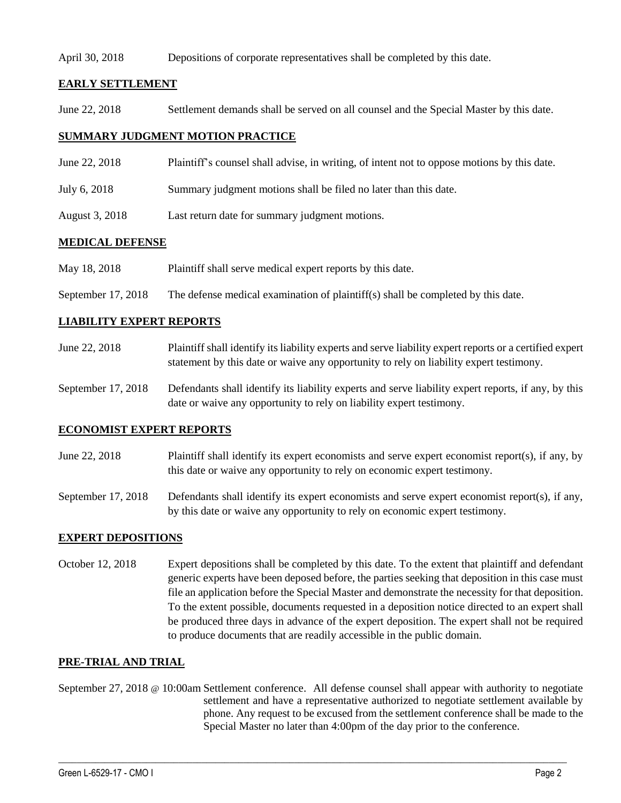### April 30, 2018 Depositions of corporate representatives shall be completed by this date.

# **EARLY SETTLEMENT**

June 22, 2018 Settlement demands shall be served on all counsel and the Special Master by this date.

## **SUMMARY JUDGMENT MOTION PRACTICE**

- June 22, 2018 Plaintiff's counsel shall advise, in writing, of intent not to oppose motions by this date.
- July 6, 2018 Summary judgment motions shall be filed no later than this date.
- August 3, 2018 Last return date for summary judgment motions.

## **MEDICAL DEFENSE**

- May 18, 2018 Plaintiff shall serve medical expert reports by this date.
- September 17, 2018 The defense medical examination of plaintiff(s) shall be completed by this date.

## **LIABILITY EXPERT REPORTS**

- June 22, 2018 Plaintiff shall identify its liability experts and serve liability expert reports or a certified expert statement by this date or waive any opportunity to rely on liability expert testimony.
- September 17, 2018 Defendants shall identify its liability experts and serve liability expert reports, if any, by this date or waive any opportunity to rely on liability expert testimony.

### **ECONOMIST EXPERT REPORTS**

- June 22, 2018 Plaintiff shall identify its expert economists and serve expert economist report(s), if any, by this date or waive any opportunity to rely on economic expert testimony.
- September 17, 2018 Defendants shall identify its expert economists and serve expert economist report(s), if any, by this date or waive any opportunity to rely on economic expert testimony.

### **EXPERT DEPOSITIONS**

October 12, 2018 Expert depositions shall be completed by this date. To the extent that plaintiff and defendant generic experts have been deposed before, the parties seeking that deposition in this case must file an application before the Special Master and demonstrate the necessity for that deposition. To the extent possible, documents requested in a deposition notice directed to an expert shall be produced three days in advance of the expert deposition. The expert shall not be required to produce documents that are readily accessible in the public domain.

### **PRE-TRIAL AND TRIAL**

September 27, 2018 @ 10:00am Settlement conference. All defense counsel shall appear with authority to negotiate settlement and have a representative authorized to negotiate settlement available by phone. Any request to be excused from the settlement conference shall be made to the Special Master no later than 4:00pm of the day prior to the conference.

 $\_$  ,  $\_$  ,  $\_$  ,  $\_$  ,  $\_$  ,  $\_$  ,  $\_$  ,  $\_$  ,  $\_$  ,  $\_$  ,  $\_$  ,  $\_$  ,  $\_$  ,  $\_$  ,  $\_$  ,  $\_$  ,  $\_$  ,  $\_$  ,  $\_$  ,  $\_$  ,  $\_$  ,  $\_$  ,  $\_$  ,  $\_$  ,  $\_$  ,  $\_$  ,  $\_$  ,  $\_$  ,  $\_$  ,  $\_$  ,  $\_$  ,  $\_$  ,  $\_$  ,  $\_$  ,  $\_$  ,  $\_$  ,  $\_$  ,